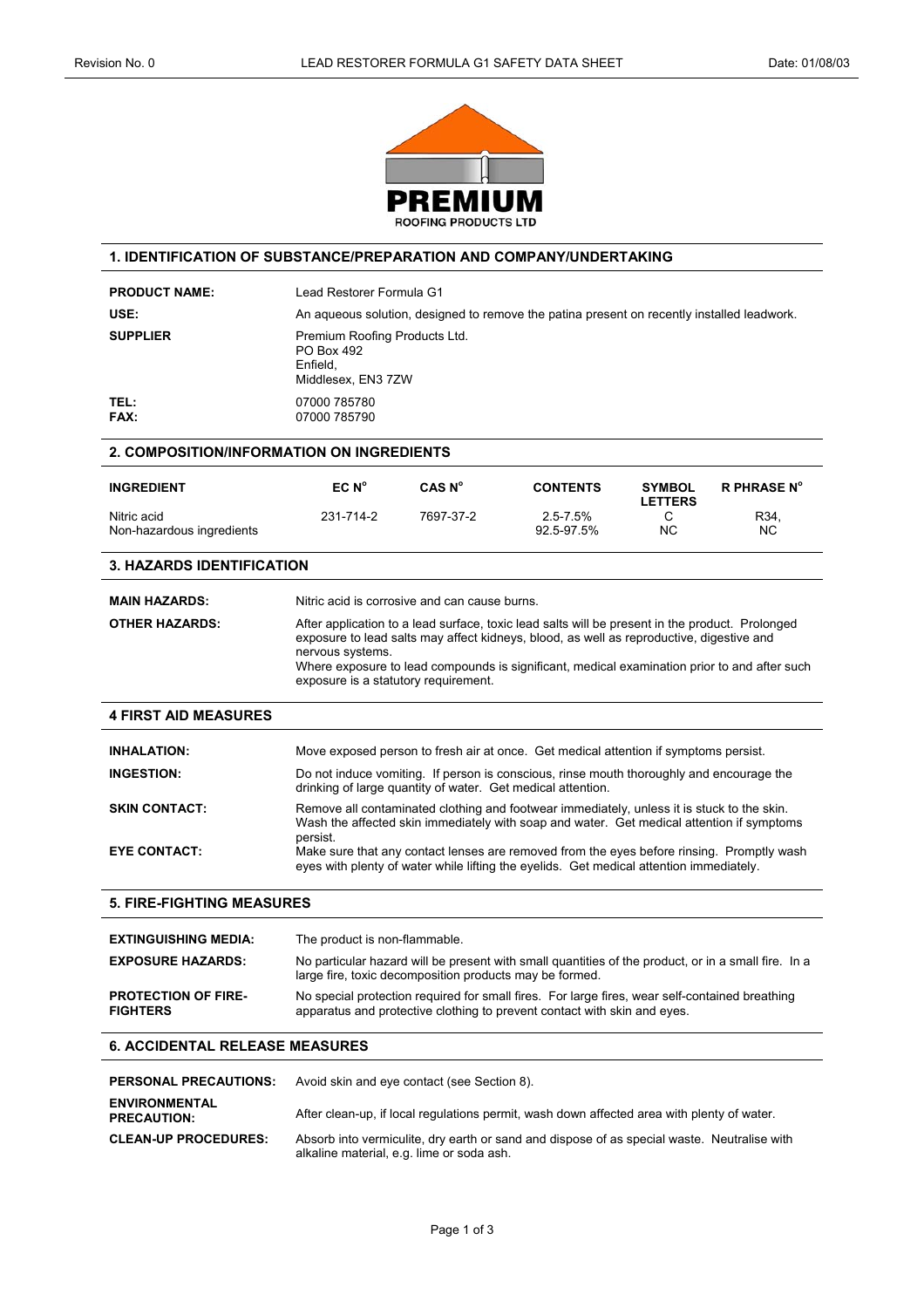

## **1. IDENTIFICATION OF SUBSTANCE/PREPARATION AND COMPANY/UNDERTAKING**

| <b>PRODUCT NAME:</b> | Lead Restorer Formula G1                                                                   |
|----------------------|--------------------------------------------------------------------------------------------|
| USE:                 | An aqueous solution, designed to remove the patina present on recently installed leadwork. |
| <b>SUPPLIER</b>      | Premium Roofing Products Ltd.<br>PO Box 492<br>Enfield.<br>Middlesex, EN3 7ZW              |
| TEL:<br><b>FAX:</b>  | 07000 785780<br>07000 785790                                                               |

#### **2. COMPOSITION/INFORMATION ON INGREDIENTS**

| <b>INGREDIENT</b>                        | EC N <sup>o</sup> | CAS N <sup>o</sup> | <b>CONTENTS</b>             | <b>SYMBOL</b><br><b>LETTERS</b> | <b>R PHRASE N°</b> |
|------------------------------------------|-------------------|--------------------|-----------------------------|---------------------------------|--------------------|
| Nitric acid<br>Non-hazardous ingredients | 231-714-2         | 7697-37-2          | $2.5 - 7.5\%$<br>92.5-97.5% | <b>NC</b>                       | R34,<br>ΝC         |

### **3. HAZARDS IDENTIFICATION**

| <b>MAIN HAZARDS:</b>  | Nitric acid is corrosive and can cause burns.                                                                                                                                                                                                                                                                                                           |
|-----------------------|---------------------------------------------------------------------------------------------------------------------------------------------------------------------------------------------------------------------------------------------------------------------------------------------------------------------------------------------------------|
| <b>OTHER HAZARDS:</b> | After application to a lead surface, toxic lead salts will be present in the product. Prolonged<br>exposure to lead salts may affect kidneys, blood, as well as reproductive, digestive and<br>nervous systems.<br>Where exposure to lead compounds is significant, medical examination prior to and after such<br>exposure is a statutory requirement. |

### **4 FIRST AID MEASURES**

| <b>INHALATION:</b><br><b>INGESTION:</b> | Move exposed person to fresh air at once. Get medical attention if symptoms persist.<br>Do not induce vomiting. If person is conscious, rinse mouth thoroughly and encourage the                    |
|-----------------------------------------|-----------------------------------------------------------------------------------------------------------------------------------------------------------------------------------------------------|
|                                         | drinking of large quantity of water. Get medical attention.                                                                                                                                         |
| <b>SKIN CONTACT:</b>                    | Remove all contaminated clothing and footwear immediately, unless it is stuck to the skin.<br>Wash the affected skin immediately with soap and water. Get medical attention if symptoms<br>persist. |
| <b>EYE CONTACT:</b>                     | Make sure that any contact lenses are removed from the eyes before rinsing. Promptly wash<br>eyes with plenty of water while lifting the eyelids. Get medical attention immediately.                |

### **5. FIRE-FIGHTING MEASURES**

| <b>EXTINGUISHING MEDIA:</b>                   | The product is non-flammable.                                                                                                                                              |
|-----------------------------------------------|----------------------------------------------------------------------------------------------------------------------------------------------------------------------------|
| <b>EXPOSURE HAZARDS:</b>                      | No particular hazard will be present with small quantities of the product, or in a small fire. In a<br>large fire, toxic decomposition products may be formed.             |
| <b>PROTECTION OF FIRE-</b><br><b>FIGHTERS</b> | No special protection required for small fires. For large fires, wear self-contained breathing<br>apparatus and protective clothing to prevent contact with skin and eyes. |

# **6. ACCIDENTAL RELEASE MEASURES**

| <b>PERSONAL PRECAUTIONS:</b>               | Avoid skin and eye contact (see Section 8).                                                                                              |
|--------------------------------------------|------------------------------------------------------------------------------------------------------------------------------------------|
| <b>ENVIRONMENTAL</b><br><b>PRECAUTION:</b> | After clean-up, if local regulations permit, wash down affected area with plenty of water.                                               |
| <b>CLEAN-UP PROCEDURES:</b>                | Absorb into vermiculite, dry earth or sand and dispose of as special waste. Neutralise with<br>alkaline material, e.g. lime or soda ash. |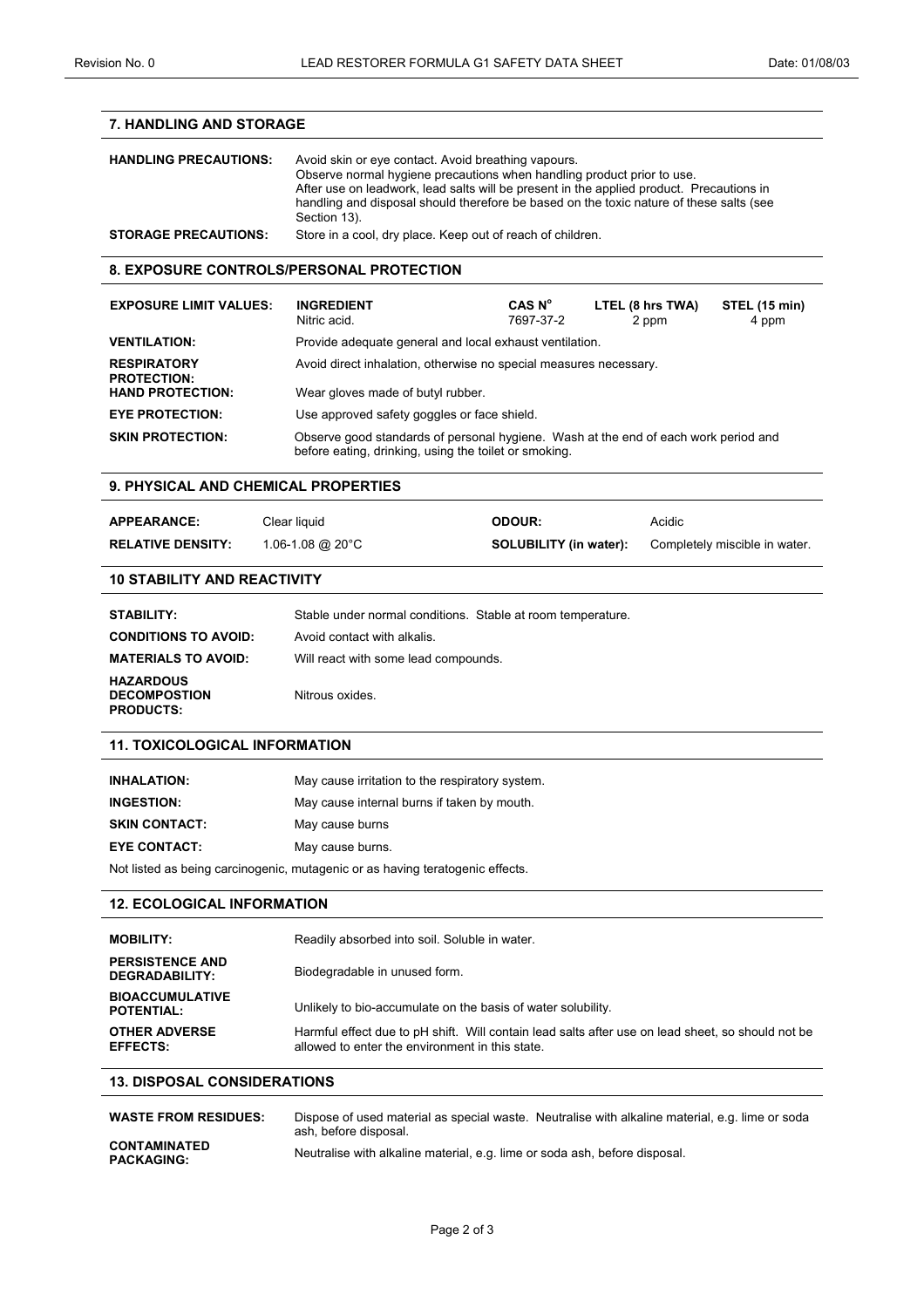| <b>7. HANDLING AND STORAGE</b>                                                                                                 |                                                                                                                                                                                                                                                                                                                                      |                               |  |        |                               |
|--------------------------------------------------------------------------------------------------------------------------------|--------------------------------------------------------------------------------------------------------------------------------------------------------------------------------------------------------------------------------------------------------------------------------------------------------------------------------------|-------------------------------|--|--------|-------------------------------|
| <b>HANDLING PRECAUTIONS:</b>                                                                                                   | Avoid skin or eye contact. Avoid breathing vapours.<br>Observe normal hygiene precautions when handling product prior to use.<br>After use on leadwork, lead salts will be present in the applied product. Precautions in<br>handling and disposal should therefore be based on the toxic nature of these salts (see<br>Section 13). |                               |  |        |                               |
| <b>STORAGE PRECAUTIONS:</b>                                                                                                    | Store in a cool, dry place. Keep out of reach of children.                                                                                                                                                                                                                                                                           |                               |  |        |                               |
| <b>8. EXPOSURE CONTROLS/PERSONAL PROTECTION</b>                                                                                |                                                                                                                                                                                                                                                                                                                                      |                               |  |        |                               |
|                                                                                                                                |                                                                                                                                                                                                                                                                                                                                      |                               |  |        |                               |
| <b>EXPOSURE LIMIT VALUES:</b>                                                                                                  | CAS N <sup>o</sup><br><b>INGREDIENT</b><br>LTEL (8 hrs TWA)<br>Nitric acid.<br>7697-37-2<br>2 ppm                                                                                                                                                                                                                                    |                               |  |        | <b>STEL (15 min)</b><br>4 ppm |
| <b>VENTILATION:</b>                                                                                                            | Provide adequate general and local exhaust ventilation.                                                                                                                                                                                                                                                                              |                               |  |        |                               |
| <b>RESPIRATORY</b><br><b>PROTECTION:</b><br><b>HAND PROTECTION:</b>                                                            | Avoid direct inhalation, otherwise no special measures necessary.                                                                                                                                                                                                                                                                    |                               |  |        |                               |
| <b>EYE PROTECTION:</b>                                                                                                         | Wear gloves made of butyl rubber.<br>Use approved safety goggles or face shield.                                                                                                                                                                                                                                                     |                               |  |        |                               |
| <b>SKIN PROTECTION:</b>                                                                                                        | Observe good standards of personal hygiene. Wash at the end of each work period and                                                                                                                                                                                                                                                  |                               |  |        |                               |
|                                                                                                                                | before eating, drinking, using the toilet or smoking.                                                                                                                                                                                                                                                                                |                               |  |        |                               |
| <b>9. PHYSICAL AND CHEMICAL PROPERTIES</b>                                                                                     |                                                                                                                                                                                                                                                                                                                                      |                               |  |        |                               |
| <b>APPEARANCE:</b>                                                                                                             | Clear liquid                                                                                                                                                                                                                                                                                                                         | <b>ODOUR:</b>                 |  | Acidic |                               |
| <b>RELATIVE DENSITY:</b>                                                                                                       | 1.06-1.08 @ 20°C                                                                                                                                                                                                                                                                                                                     | <b>SOLUBILITY (in water):</b> |  |        | Completely miscible in water. |
| <b>10 STABILITY AND REACTIVITY</b>                                                                                             |                                                                                                                                                                                                                                                                                                                                      |                               |  |        |                               |
| <b>STABILITY:</b>                                                                                                              | Stable under normal conditions. Stable at room temperature.                                                                                                                                                                                                                                                                          |                               |  |        |                               |
| <b>CONDITIONS TO AVOID:</b>                                                                                                    | Avoid contact with alkalis.                                                                                                                                                                                                                                                                                                          |                               |  |        |                               |
| <b>MATERIALS TO AVOID:</b>                                                                                                     | Will react with some lead compounds.                                                                                                                                                                                                                                                                                                 |                               |  |        |                               |
| <b>HAZARDOUS</b>                                                                                                               |                                                                                                                                                                                                                                                                                                                                      |                               |  |        |                               |
| <b>DECOMPOSTION</b><br><b>PRODUCTS:</b>                                                                                        | Nitrous oxides.                                                                                                                                                                                                                                                                                                                      |                               |  |        |                               |
| <b>11. TOXICOLOGICAL INFORMATION</b>                                                                                           |                                                                                                                                                                                                                                                                                                                                      |                               |  |        |                               |
| <b>INHALATION:</b>                                                                                                             | May cause irritation to the respiratory system.                                                                                                                                                                                                                                                                                      |                               |  |        |                               |
| <b>INGESTION:</b>                                                                                                              | May cause internal burns if taken by mouth.                                                                                                                                                                                                                                                                                          |                               |  |        |                               |
| <b>SKIN CONTACT:</b>                                                                                                           | May cause burns                                                                                                                                                                                                                                                                                                                      |                               |  |        |                               |
| <b>EYE CONTACT:</b>                                                                                                            | May cause burns.                                                                                                                                                                                                                                                                                                                     |                               |  |        |                               |
|                                                                                                                                | Not listed as being carcinogenic, mutagenic or as having teratogenic effects.                                                                                                                                                                                                                                                        |                               |  |        |                               |
| <b>12. ECOLOGICAL INFORMATION</b>                                                                                              |                                                                                                                                                                                                                                                                                                                                      |                               |  |        |                               |
| <b>MOBILITY:</b>                                                                                                               | Readily absorbed into soil. Soluble in water.                                                                                                                                                                                                                                                                                        |                               |  |        |                               |
| <b>PERSISTENCE AND</b><br><b>DEGRADABILITY:</b>                                                                                | Biodegradable in unused form.                                                                                                                                                                                                                                                                                                        |                               |  |        |                               |
| <b>BIOACCUMULATIVE</b><br><b>POTENTIAL:</b>                                                                                    | Unlikely to bio-accumulate on the basis of water solubility.                                                                                                                                                                                                                                                                         |                               |  |        |                               |
| <b>OTHER ADVERSE</b>                                                                                                           | Harmful effect due to pH shift. Will contain lead salts after use on lead sheet, so should not be                                                                                                                                                                                                                                    |                               |  |        |                               |
| <b>EFFECTS:</b>                                                                                                                | allowed to enter the environment in this state.                                                                                                                                                                                                                                                                                      |                               |  |        |                               |
| <b>13. DISPOSAL CONSIDERATIONS</b>                                                                                             |                                                                                                                                                                                                                                                                                                                                      |                               |  |        |                               |
| <b>WASTE FROM RESIDUES:</b><br>Dispose of used material as special waste. Neutralise with alkaline material, e.g. lime or soda |                                                                                                                                                                                                                                                                                                                                      |                               |  |        |                               |
| <b>CONTAMINATED</b><br><b>PACKAGING:</b>                                                                                       | ash, before disposal.<br>Neutralise with alkaline material, e.g. lime or soda ash, before disposal.                                                                                                                                                                                                                                  |                               |  |        |                               |
|                                                                                                                                |                                                                                                                                                                                                                                                                                                                                      |                               |  |        |                               |